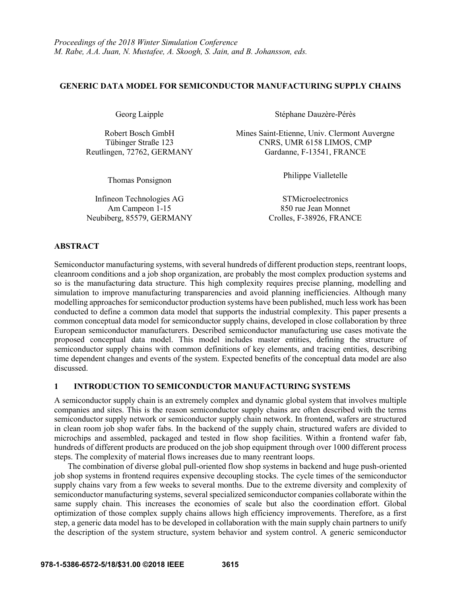## **GENERIC DATA MODEL FOR SEMICONDUCTOR MANUFACTURING SUPPLY CHAINS**

Thomas Ponsignon Philippe Vialletelle

Infineon Technologies AG STMicroelectronics Am Campeon 1-15 850 rue Jean Monnet Neubiberg, 85579, GERMANY Crolles, F-38926, FRANCE

Georg Laipple Stéphane Dauzère-Pérès

Robert Bosch GmbH Mines Saint-Etienne, Univ. Clermont Auvergne Tübinger Straße 123 CNRS, UMR 6158 LIMOS, CMP Reutlingen, 72762, GERMANY Gardanne, F-13541, FRANCE

# **ABSTRACT**

Semiconductor manufacturing systems, with several hundreds of different production steps, reentrant loops, cleanroom conditions and a job shop organization, are probably the most complex production systems and so is the manufacturing data structure. This high complexity requires precise planning, modelling and simulation to improve manufacturing transparencies and avoid planning inefficiencies. Although many modelling approaches for semiconductor production systems have been published, much less work has been conducted to define a common data model that supports the industrial complexity. This paper presents a common conceptual data model for semiconductor supply chains, developed in close collaboration by three European semiconductor manufacturers. Described semiconductor manufacturing use cases motivate the proposed conceptual data model. This model includes master entities, defining the structure of semiconductor supply chains with common definitions of key elements, and tracing entities, describing time dependent changes and events of the system. Expected benefits of the conceptual data model are also discussed.

# **1 INTRODUCTION TO SEMICONDUCTOR MANUFACTURING SYSTEMS**

A semiconductor supply chain is an extremely complex and dynamic global system that involves multiple companies and sites. This is the reason semiconductor supply chains are often described with the terms semiconductor supply network or semiconductor supply chain network. In frontend, wafers are structured in clean room job shop wafer fabs. In the backend of the supply chain, structured wafers are divided to microchips and assembled, packaged and tested in flow shop facilities. Within a frontend wafer fab, hundreds of different products are produced on the job shop equipment through over 1000 different process steps. The complexity of material flows increases due to many reentrant loops.

The combination of diverse global pull-oriented flow shop systems in backend and huge push-oriented job shop systems in frontend requires expensive decoupling stocks. The cycle times of the semiconductor supply chains vary from a few weeks to several months. Due to the extreme diversity and complexity of semiconductor manufacturing systems, several specialized semiconductor companies collaborate within the same supply chain. This increases the economies of scale but also the coordination effort. Global optimization of those complex supply chains allows high efficiency improvements. Therefore, as a first step, a generic data model has to be developed in collaboration with the main supply chain partners to unify the description of the system structure, system behavior and system control. A generic semiconductor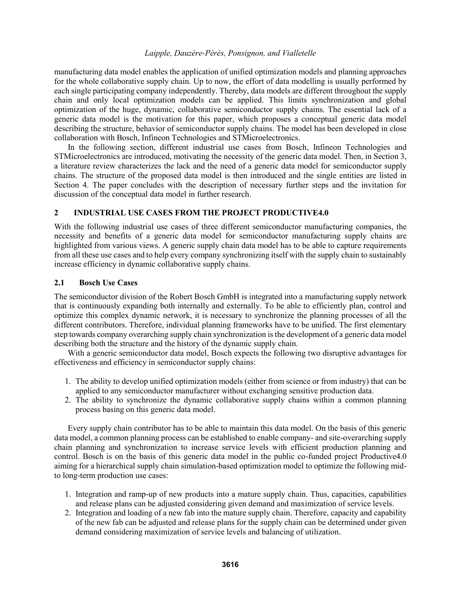manufacturing data model enables the application of unified optimization models and planning approaches for the whole collaborative supply chain. Up to now, the effort of data modelling is usually performed by each single participating company independently. Thereby, data models are different throughout the supply chain and only local optimization models can be applied. This limits synchronization and global optimization of the huge, dynamic, collaborative semiconductor supply chains. The essential lack of a generic data model is the motivation for this paper, which proposes a conceptual generic data model describing the structure, behavior of semiconductor supply chains. The model has been developed in close collaboration with Bosch, Infineon Technologies and STMicroelectronics.

In the following section, different industrial use cases from Bosch, Infineon Technologies and STMicroelectronics are introduced, motivating the necessity of the generic data model. Then, in Section 3, a literature review characterizes the lack and the need of a generic data model for semiconductor supply chains. The structure of the proposed data model is then introduced and the single entities are listed in Section 4. The paper concludes with the description of necessary further steps and the invitation for discussion of the conceptual data model in further research.

# **2 INDUSTRIAL USE CASES FROM THE PROJECT PRODUCTIVE4.0**

With the following industrial use cases of three different semiconductor manufacturing companies, the necessity and benefits of a generic data model for semiconductor manufacturing supply chains are highlighted from various views. A generic supply chain data model has to be able to capture requirements from all these use cases and to help every company synchronizing itself with the supply chain to sustainably increase efficiency in dynamic collaborative supply chains.

## **2.1 Bosch Use Cases**

The semiconductor division of the Robert Bosch GmbH is integrated into a manufacturing supply network that is continuously expanding both internally and externally. To be able to efficiently plan, control and optimize this complex dynamic network, it is necessary to synchronize the planning processes of all the different contributors. Therefore, individual planning frameworks have to be unified. The first elementary step towards company overarching supply chain synchronization is the development of a generic data model describing both the structure and the history of the dynamic supply chain.

With a generic semiconductor data model, Bosch expects the following two disruptive advantages for effectiveness and efficiency in semiconductor supply chains:

- 1. The ability to develop unified optimization models (either from science or from industry) that can be applied to any semiconductor manufacturer without exchanging sensitive production data.
- 2. The ability to synchronize the dynamic collaborative supply chains within a common planning process basing on this generic data model.

Every supply chain contributor has to be able to maintain this data model. On the basis of this generic data model, a common planning process can be established to enable company- and site-overarching supply chain planning and synchronization to increase service levels with efficient production planning and control. Bosch is on the basis of this generic data model in the public co-funded project Productive4.0 aiming for a hierarchical supply chain simulation-based optimization model to optimize the following midto long-term production use cases:

- 1. Integration and ramp-up of new products into a mature supply chain. Thus, capacities, capabilities and release plans can be adjusted considering given demand and maximization of service levels.
- 2. Integration and loading of a new fab into the mature supply chain. Therefore, capacity and capability of the new fab can be adjusted and release plans for the supply chain can be determined under given demand considering maximization of service levels and balancing of utilization.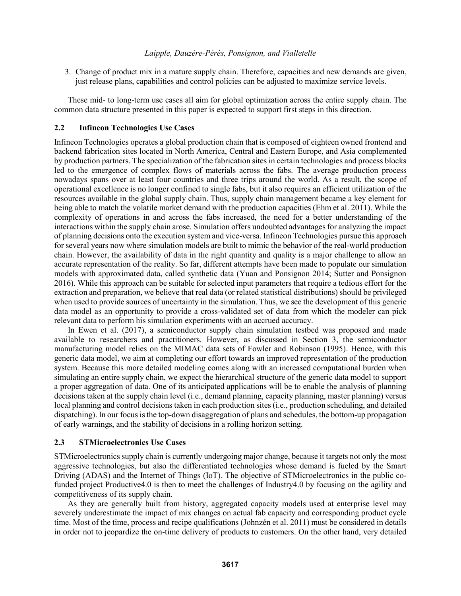3. Change of product mix in a mature supply chain. Therefore, capacities and new demands are given, just release plans, capabilities and control policies can be adjusted to maximize service levels.

These mid- to long-term use cases all aim for global optimization across the entire supply chain. The common data structure presented in this paper is expected to support first steps in this direction.

# **2.2 Infineon Technologies Use Cases**

Infineon Technologies operates a global production chain that is composed of eighteen owned frontend and backend fabrication sites located in North America, Central and Eastern Europe, and Asia complemented by production partners. The specialization of the fabrication sites in certain technologies and process blocks led to the emergence of complex flows of materials across the fabs. The average production process nowadays spans over at least four countries and three trips around the world. As a result, the scope of operational excellence is no longer confined to single fabs, but it also requires an efficient utilization of the resources available in the global supply chain. Thus, supply chain management became a key element for being able to match the volatile market demand with the production capacities (Ehm et al. 2011). While the complexity of operations in and across the fabs increased, the need for a better understanding of the interactions within the supply chain arose. Simulation offers undoubted advantages for analyzing the impact of planning decisions onto the execution system and vice-versa. Infineon Technologies pursue this approach for several years now where simulation models are built to mimic the behavior of the real-world production chain. However, the availability of data in the right quantity and quality is a major challenge to allow an accurate representation of the reality. So far, different attempts have been made to populate our simulation models with approximated data, called synthetic data (Yuan and Ponsignon 2014; Sutter and Ponsignon 2016). While this approach can be suitable for selected input parameters that require a tedious effort for the extraction and preparation, we believe that real data (or related statistical distributions) should be privileged when used to provide sources of uncertainty in the simulation. Thus, we see the development of this generic data model as an opportunity to provide a cross-validated set of data from which the modeler can pick relevant data to perform his simulation experiments with an accrued accuracy.

In Ewen et al. (2017), a semiconductor supply chain simulation testbed was proposed and made available to researchers and practitioners. However, as discussed in Section 3, the semiconductor manufacturing model relies on the MIMAC data sets of Fowler and Robinson (1995). Hence, with this generic data model, we aim at completing our effort towards an improved representation of the production system. Because this more detailed modeling comes along with an increased computational burden when simulating an entire supply chain, we expect the hierarchical structure of the generic data model to support a proper aggregation of data. One of its anticipated applications will be to enable the analysis of planning decisions taken at the supply chain level (i.e., demand planning, capacity planning, master planning) versus local planning and control decisions taken in each production sites (i.e., production scheduling, and detailed dispatching). In our focus is the top-down disaggregation of plans and schedules, the bottom-up propagation of early warnings, and the stability of decisions in a rolling horizon setting.

## **2.3 STMicroelectronics Use Cases**

STMicroelectronics supply chain is currently undergoing major change, because it targets not only the most aggressive technologies, but also the differentiated technologies whose demand is fueled by the Smart Driving (ADAS) and the Internet of Things (IoT). The objective of STMicroelectronics in the public cofunded project Productive4.0 is then to meet the challenges of Industry4.0 by focusing on the agility and competitiveness of its supply chain.

As they are generally built from history, aggregated capacity models used at enterprise level may severely underestimate the impact of mix changes on actual fab capacity and corresponding product cycle time. Most of the time, process and recipe qualifications (Johnzén et al. 2011) must be considered in details in order not to jeopardize the on-time delivery of products to customers. On the other hand, very detailed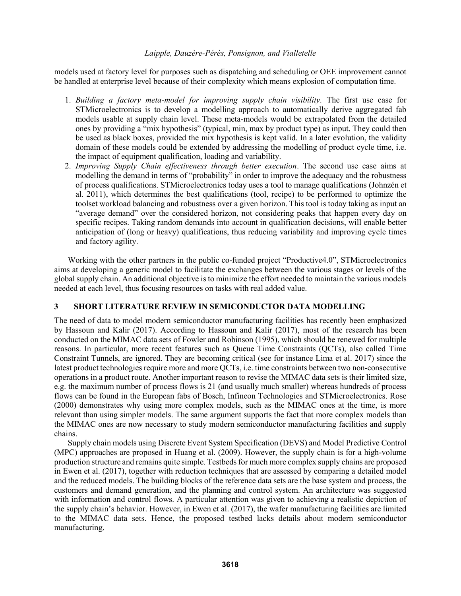models used at factory level for purposes such as dispatching and scheduling or OEE improvement cannot be handled at enterprise level because of their complexity which means explosion of computation time.

- 1. *Building a factory meta-model for improving supply chain visibility.* The first use case for STMicroelectronics is to develop a modelling approach to automatically derive aggregated fab models usable at supply chain level. These meta-models would be extrapolated from the detailed ones by providing a "mix hypothesis" (typical, min, max by product type) as input. They could then be used as black boxes, provided the mix hypothesis is kept valid. In a later evolution, the validity domain of these models could be extended by addressing the modelling of product cycle time, i.e. the impact of equipment qualification, loading and variability.
- 2. *Improving Supply Chain effectiveness through better execution*. The second use case aims at modelling the demand in terms of "probability" in order to improve the adequacy and the robustness of process qualifications. STMicroelectronics today uses a tool to manage qualifications (Johnzén et al. 2011), which determines the best qualifications (tool, recipe) to be performed to optimize the toolset workload balancing and robustness over a given horizon. This tool is today taking as input an "average demand" over the considered horizon, not considering peaks that happen every day on specific recipes. Taking random demands into account in qualification decisions, will enable better anticipation of (long or heavy) qualifications, thus reducing variability and improving cycle times and factory agility.

Working with the other partners in the public co-funded project "Productive4.0", STMicroelectronics aims at developing a generic model to facilitate the exchanges between the various stages or levels of the global supply chain. An additional objective is to minimize the effort needed to maintain the various models needed at each level, thus focusing resources on tasks with real added value.

# **3 SHORT LITERATURE REVIEW IN SEMICONDUCTOR DATA MODELLING**

The need of data to model modern semiconductor manufacturing facilities has recently been emphasized by Hassoun and Kalir (2017). According to Hassoun and Kalir (2017), most of the research has been conducted on the MIMAC data sets of Fowler and Robinson (1995), which should be renewed for multiple reasons. In particular, more recent features such as Queue Time Constraints (QCTs), also called Time Constraint Tunnels, are ignored. They are becoming critical (see for instance Lima et al. 2017) since the latest product technologies require more and more QCTs, i.e. time constraints between two non-consecutive operations in a product route. Another important reason to revise the MIMAC data sets is their limited size, e.g. the maximum number of process flows is 21 (and usually much smaller) whereas hundreds of process flows can be found in the European fabs of Bosch, Infineon Technologies and STMicroelectronics. Rose (2000) demonstrates why using more complex models, such as the MIMAC ones at the time, is more relevant than using simpler models. The same argument supports the fact that more complex models than the MIMAC ones are now necessary to study modern semiconductor manufacturing facilities and supply chains.

Supply chain models using Discrete Event System Specification (DEVS) and Model Predictive Control (MPC) approaches are proposed in Huang et al. (2009). However, the supply chain is for a high-volume production structure and remains quite simple. Testbeds for much more complex supply chains are proposed in Ewen et al. (2017), together with reduction techniques that are assessed by comparing a detailed model and the reduced models. The building blocks of the reference data sets are the base system and process, the customers and demand generation, and the planning and control system. An architecture was suggested with information and control flows. A particular attention was given to achieving a realistic depiction of the supply chain's behavior. However, in Ewen et al. (2017), the wafer manufacturing facilities are limited to the MIMAC data sets. Hence, the proposed testbed lacks details about modern semiconductor manufacturing.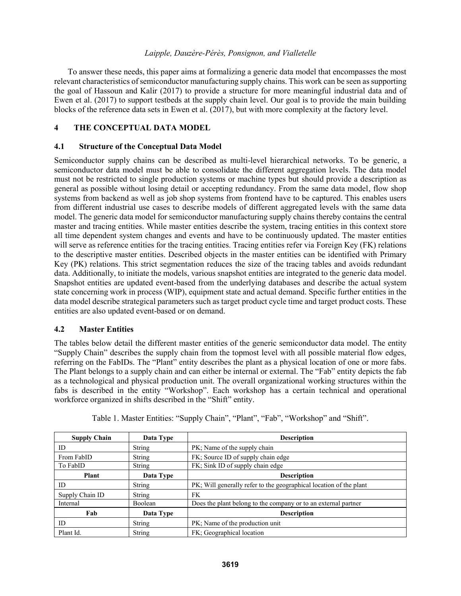To answer these needs, this paper aims at formalizing a generic data model that encompasses the most relevant characteristics of semiconductor manufacturing supply chains. This work can be seen as supporting the goal of Hassoun and Kalir (2017) to provide a structure for more meaningful industrial data and of Ewen et al. (2017) to support testbeds at the supply chain level. Our goal is to provide the main building blocks of the reference data sets in Ewen et al. (2017), but with more complexity at the factory level.

# **4 THE CONCEPTUAL DATA MODEL**

### **4.1 Structure of the Conceptual Data Model**

Semiconductor supply chains can be described as multi-level hierarchical networks. To be generic, a semiconductor data model must be able to consolidate the different aggregation levels. The data model must not be restricted to single production systems or machine types but should provide a description as general as possible without losing detail or accepting redundancy. From the same data model, flow shop systems from backend as well as job shop systems from frontend have to be captured. This enables users from different industrial use cases to describe models of different aggregated levels with the same data model. The generic data model for semiconductor manufacturing supply chains thereby contains the central master and tracing entities. While master entities describe the system, tracing entities in this context store all time dependent system changes and events and have to be continuously updated. The master entities will serve as reference entities for the tracing entities. Tracing entities refer via Foreign Key (FK) relations to the descriptive master entities. Described objects in the master entities can be identified with Primary Key (PK) relations. This strict segmentation reduces the size of the tracing tables and avoids redundant data. Additionally, to initiate the models, various snapshot entities are integrated to the generic data model. Snapshot entities are updated event-based from the underlying databases and describe the actual system state concerning work in process (WIP), equipment state and actual demand. Specific further entities in the data model describe strategical parameters such as target product cycle time and target product costs. These entities are also updated event-based or on demand.

### **4.2 Master Entities**

The tables below detail the different master entities of the generic semiconductor data model. The entity "Supply Chain" describes the supply chain from the topmost level with all possible material flow edges, referring on the FabIDs. The "Plant" entity describes the plant as a physical location of one or more fabs. The Plant belongs to a supply chain and can either be internal or external. The "Fab" entity depicts the fab as a technological and physical production unit. The overall organizational working structures within the fabs is described in the entity "Workshop". Each workshop has a certain technical and operational workforce organized in shifts described in the "Shift" entity.

| <b>Supply Chain</b> | Data Type      | <b>Description</b>                                                 |
|---------------------|----------------|--------------------------------------------------------------------|
| ID                  | String         | PK; Name of the supply chain                                       |
| From FabID          | <b>String</b>  | FK; Source ID of supply chain edge                                 |
| To FabID            | <b>String</b>  | FK; Sink ID of supply chain edge                                   |
| <b>Plant</b>        | Data Type      | <b>Description</b>                                                 |
| ID                  | <b>String</b>  | PK; Will generally refer to the geographical location of the plant |
| Supply Chain ID     | <b>String</b>  | FK                                                                 |
| Internal            | <b>Boolean</b> | Does the plant belong to the company or to an external partner     |
| Fab                 | Data Type      | <b>Description</b>                                                 |
| ID                  | <b>String</b>  | PK; Name of the production unit                                    |
| Plant Id.           | <b>String</b>  | FK; Geographical location                                          |

Table 1. Master Entities: "Supply Chain", "Plant", "Fab", "Workshop" and "Shift".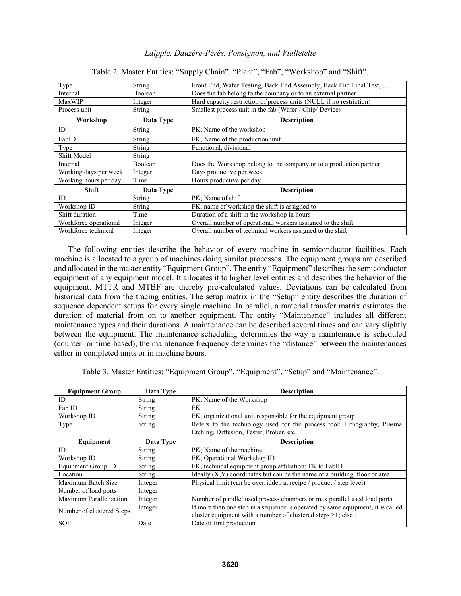| Type                  | <b>String</b> | Front End, Wafer Testing, Back End Assembly, Back End Final Test,   |
|-----------------------|---------------|---------------------------------------------------------------------|
| Internal              | Boolean       | Does the fab belong to the company or to an external partner        |
| <b>MaxWIP</b>         | Integer       | Hard capacity restriction of process units (NULL if no restriction) |
| Process unit          | String        | Smallest process unit in the fab (Wafer / Chip/ Device)             |
| Workshop              | Data Type     | <b>Description</b>                                                  |
| ID                    | <b>String</b> | PK; Name of the workshop                                            |
| FabID                 | <b>String</b> | FK; Name of the production unit                                     |
| Type                  | <b>String</b> | Functional, divisional                                              |
| Shift Model           | <b>String</b> |                                                                     |
| Internal              | Boolean       | Does the Workshop belong to the company or to a production partner  |
| Working days per week | Integer       | Days productive per week                                            |
| Working hours per day | Time          | Hours productive per day                                            |
| <b>Shift</b>          | Data Type     | <b>Description</b>                                                  |
| ID                    | <b>String</b> | PK; Name of shift                                                   |
| Workshop ID           | <b>String</b> | FK; name of workshop the shift is assigned to                       |
| Shift duration        | Time          | Duration of a shift in the workshop in hours                        |
| Workforce operational | Integer       | Overall number of operational workers assigned to the shift         |
| Workforce technical   | Integer       | Overall number of technical workers assigned to the shift           |

Table 2. Master Entities: "Supply Chain", "Plant", "Fab", "Workshop" and "Shift".

The following entities describe the behavior of every machine in semiconductor facilities. Each machine is allocated to a group of machines doing similar processes. The equipment groups are described and allocated in the master entity "Equipment Group". The entity "Equipment" describes the semiconductor equipment of any equipment model. It allocates it to higher level entities and describes the behavior of the equipment. MTTR and MTBF are thereby pre-calculated values. Deviations can be calculated from historical data from the tracing entities. The setup matrix in the "Setup" entity describes the duration of sequence dependent setups for every single machine. In parallel, a material transfer matrix estimates the duration of material from on to another equipment. The entity "Maintenance" includes all different maintenance types and their durations. A maintenance can be described several times and can vary slightly between the equipment. The maintenance scheduling determines the way a maintenance is scheduled (counter- or time-based), the maintenance frequency determines the "distance" between the maintenances either in completed units or in machine hours.

Table 3. Master Entities: "Equipment Group", "Equipment", "Setup" and "Maintenance".

| <b>Equipment Group</b>    | Data Type     | <b>Description</b>                                                              |
|---------------------------|---------------|---------------------------------------------------------------------------------|
| ID                        | <b>String</b> | PK; Name of the Workshop                                                        |
| Fab ID                    | String        | FK.                                                                             |
| Workshop ID               | String        | FK; organizational unit responsible for the equipment group                     |
| Type                      | <b>String</b> | Refers to the technology used for the process tool: Lithography, Plasma         |
|                           |               | Etching, Diffusion, Tester, Prober, etc.                                        |
| Equipment                 | Data Type     | <b>Description</b>                                                              |
| ID                        | String        | PK; Name of the machine                                                         |
| Workshop ID               | <b>String</b> | FK; Operational Workshop ID                                                     |
| Equipment Group ID        | String        | FK; technical equipment group affiliation; FK to FabID                          |
| Location                  | <b>String</b> | Ideally $(X, Y)$ coordinates but can be the name of a building, floor or area   |
| Maximum Batch Size        | Integer       | Physical limit (can be overridden at recipe / product / step level)             |
| Number of load ports      | Integer       |                                                                                 |
| Maximum Parallelization   | Integer       | Number of parallel used process chambers or max parallel used load ports        |
| Number of clustered Steps | Integer       | If more than one step in a sequence is operated by same equipment, it is called |
|                           |               | cluster equipment with a number of clustered steps >1; else 1                   |
| <b>SOP</b>                | Date          | Date of first production                                                        |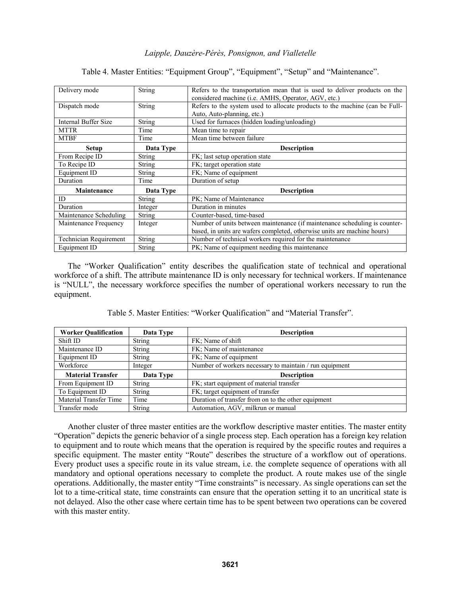| Delivery mode                 | <b>String</b> | Refers to the transportation mean that is used to deliver products on the<br>considered machine (i.e. AMHS, Operator, AGV, etc.) |
|-------------------------------|---------------|----------------------------------------------------------------------------------------------------------------------------------|
| Dispatch mode                 | <b>String</b> | Refers to the system used to allocate products to the machine (can be Full-                                                      |
|                               |               | Auto, Auto-planning, etc.)                                                                                                       |
| <b>Internal Buffer Size</b>   | <b>String</b> | Used for furnaces (hidden loading/unloading)                                                                                     |
| <b>MTTR</b>                   | Time          | Mean time to repair                                                                                                              |
| <b>MTBF</b>                   | Time          | Mean time between failure                                                                                                        |
| Setup                         | Data Type     | <b>Description</b>                                                                                                               |
| From Recipe ID                | String        | FK; last setup operation state                                                                                                   |
| To Recipe ID                  | String        | FK; target operation state                                                                                                       |
| Equipment ID                  | <b>String</b> | FK; Name of equipment                                                                                                            |
| Duration                      | Time          | Duration of setup                                                                                                                |
| Maintenance                   | Data Type     | <b>Description</b>                                                                                                               |
| ID                            | String        | PK; Name of Maintenance                                                                                                          |
| Duration                      | Integer       | Duration in minutes                                                                                                              |
| Maintenance Scheduling        | <b>String</b> | Counter-based, time-based                                                                                                        |
| Maintenance Frequency         | Integer       | Number of units between maintenance (if maintenance scheduling is counter-                                                       |
|                               |               | based, in units are wafers completed, otherwise units are machine hours)                                                         |
| <b>Technician Requirement</b> | String        | Number of technical workers required for the maintenance                                                                         |
| Equipment ID                  | <b>String</b> | PK; Name of equipment needing this maintenance                                                                                   |

Table 4. Master Entities: "Equipment Group", "Equipment", "Setup" and "Maintenance".

The "Worker Qualification" entity describes the qualification state of technical and operational workforce of a shift. The attribute maintenance ID is only necessary for technical workers. If maintenance is "NULL", the necessary workforce specifies the number of operational workers necessary to run the equipment.

| Table 5. Master Entities: "Worker Qualification" and "Material Transfer". |
|---------------------------------------------------------------------------|
|---------------------------------------------------------------------------|

| <b>Worker Qualification</b> | Data Type     | <b>Description</b>                                      |
|-----------------------------|---------------|---------------------------------------------------------|
| Shift ID                    | <b>String</b> | FK: Name of shift                                       |
| Maintenance ID              | <b>String</b> | FK; Name of maintenance                                 |
| Equipment ID                | <b>String</b> | FK: Name of equipment                                   |
| Workforce                   | Integer       | Number of workers necessary to maintain / run equipment |
| <b>Material Transfer</b>    | Data Type     | <b>Description</b>                                      |
| From Equipment ID           | <b>String</b> | FK; start equipment of material transfer                |
| To Equipment ID             | <b>String</b> | FK; target equipment of transfer                        |
| Material Transfer Time      | Time          | Duration of transfer from on to the other equipment     |
| Transfer mode               | <b>String</b> | Automation, AGV, milkrun or manual                      |

Another cluster of three master entities are the workflow descriptive master entities. The master entity "Operation" depicts the generic behavior of a single process step. Each operation has a foreign key relation to equipment and to route which means that the operation is required by the specific routes and requires a specific equipment. The master entity "Route" describes the structure of a workflow out of operations. Every product uses a specific route in its value stream, i.e. the complete sequence of operations with all mandatory and optional operations necessary to complete the product. A route makes use of the single operations. Additionally, the master entity "Time constraints" is necessary. As single operations can set the lot to a time-critical state, time constraints can ensure that the operation setting it to an uncritical state is not delayed. Also the other case where certain time has to be spent between two operations can be covered with this master entity.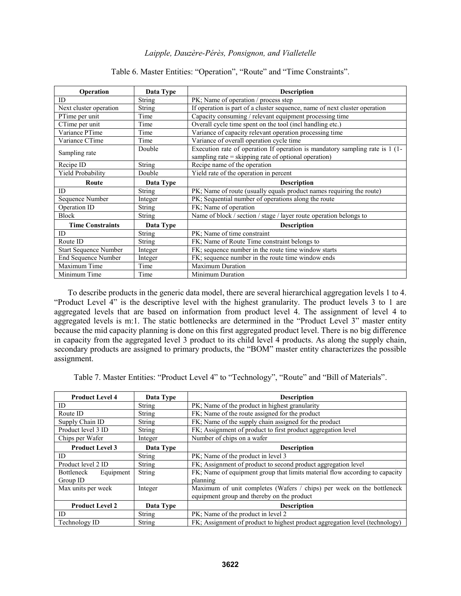| Operation                    | Data Type     | <b>Description</b>                                                           |
|------------------------------|---------------|------------------------------------------------------------------------------|
| ID                           | <b>String</b> | PK; Name of operation / process step                                         |
| Next cluster operation       | <b>String</b> | If operation is part of a cluster sequence, name of next cluster operation   |
| PTime per unit               | Time          | Capacity consuming / relevant equipment processing time                      |
| CTime per unit               | Time          | Overall cycle time spent on the tool (incl handling etc.)                    |
| Variance PTime               | Time          | Variance of capacity relevant operation processing time                      |
| Variance CTime               | Time          | Variance of overall operation cycle time                                     |
| Sampling rate                | Double        | Execution rate of operation If operation is mandatory sampling rate is 1 (1- |
|                              |               | sampling rate = skipping rate of optional operation)                         |
| Recipe ID                    | <b>String</b> | Recipe name of the operation                                                 |
| Yield Probability            | Double        | Yield rate of the operation in percent                                       |
| Route                        | Data Type     | <b>Description</b>                                                           |
| ID                           | String        | PK; Name of route (usually equals product names requiring the route)         |
| Sequence Number              | Integer       | PK; Sequential number of operations along the route                          |
| Operation ID                 | <b>String</b> | FK; Name of operation                                                        |
| <b>Block</b>                 | String        | Name of block / section / stage / layer route operation belongs to           |
| <b>Time Constraints</b>      | Data Type     | <b>Description</b>                                                           |
| ID                           | <b>String</b> | PK; Name of time constraint                                                  |
| Route ID                     | <b>String</b> | FK; Name of Route Time constraint belongs to                                 |
| <b>Start Sequence Number</b> | Integer       | FK; sequence number in the route time window starts                          |
| <b>End Sequence Number</b>   | Integer       | FK; sequence number in the route time window ends                            |
| Maximum Time                 | Time          | <b>Maximum Duration</b>                                                      |
| Minimum Time                 | Time          | <b>Minimum Duration</b>                                                      |

# Table 6. Master Entities: "Operation", "Route" and "Time Constraints".

To describe products in the generic data model, there are several hierarchical aggregation levels 1 to 4. "Product Level 4" is the descriptive level with the highest granularity. The product levels 3 to 1 are aggregated levels that are based on information from product level 4. The assignment of level 4 to aggregated levels is m:1. The static bottlenecks are determined in the "Product Level 3" master entity because the mid capacity planning is done on this first aggregated product level. There is no big difference in capacity from the aggregated level 3 product to its child level 4 products. As along the supply chain, secondary products are assigned to primary products, the "BOM" master entity characterizes the possible assignment.

Table 7. Master Entities: "Product Level 4" to "Technology", "Route" and "Bill of Materials".

| <b>Product Level 4</b>  | Data Type     | <b>Description</b>                                                          |
|-------------------------|---------------|-----------------------------------------------------------------------------|
| ID                      | String        | PK; Name of the product in highest granularity                              |
| Route ID                | String        | FK; Name of the route assigned for the product                              |
| Supply Chain ID         | <b>String</b> | FK; Name of the supply chain assigned for the product                       |
| Product level 3 ID      | String        | FK; Assignment of product to first product aggregation level                |
| Chips per Wafer         | Integer       | Number of chips on a wafer                                                  |
| <b>Product Level 3</b>  | Data Type     | <b>Description</b>                                                          |
| ID                      | String        | PK; Name of the product in level 3                                          |
| Product level 2 ID      | <b>String</b> | FK; Assignment of product to second product aggregation level               |
| Bottleneck<br>Equipment | String        | FK; Name of equipment group that limits material flow according to capacity |
| Group ID                |               | planning                                                                    |
| Max units per week      | Integer       | Maximum of unit completes (Wafers / chips) per week on the bottleneck       |
|                         |               | equipment group and thereby on the product                                  |
| <b>Product Level 2</b>  | Data Type     | <b>Description</b>                                                          |
| ID                      | String        | PK; Name of the product in level 2                                          |
| Technology ID           | String        | FK; Assignment of product to highest product aggregation level (technology) |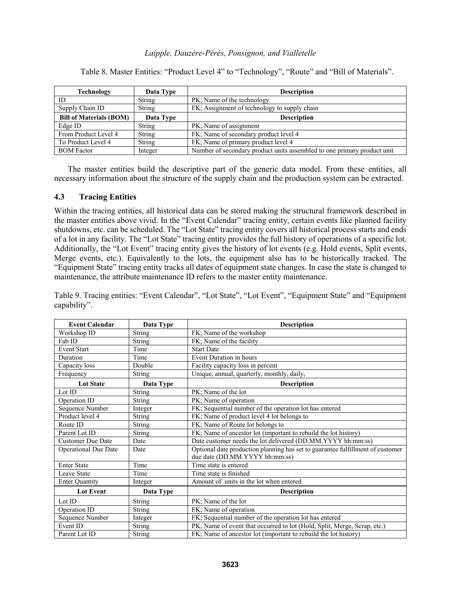| Technology                     | Data Type     | <b>Description</b>                                                      |
|--------------------------------|---------------|-------------------------------------------------------------------------|
| ID                             | String        | PK; Name of the technology                                              |
| Supply Chain ID                | String        | FK; Assignment of technology to supply chain                            |
| <b>Bill of Materials (BOM)</b> | Data Type     | <b>Description</b>                                                      |
| Edge ID                        | <b>String</b> | PK; Name of assignment                                                  |
| From Product Level 4           | <b>String</b> | FK; Name of secondary product level 4                                   |
| To Product Level 4             | <b>String</b> | FK; Name of primary product level 4                                     |
| <b>BOM</b> Factor              | Integer       | Number of secondary product units assembled to one primary product unit |

Table 8. Master Entities: "Product Level 4" to "Technology", "Route" and "Bill of Materials".

The master entities build the descriptive part of the generic data model. From these entities, all necessary information about the structure of the supply chain and the production system can be extracted.

## **4.3 Tracing Entities**

Within the tracing entities, all historical data can be stored making the structural framework described in the master entities above vivid. In the "Event Calendar" tracing entity, certain events like planned facility shutdowns, etc. can be scheduled. The "Lot State" tracing entity covers all historical process starts and ends of a lot in any facility. The "Lot State" tracing entity provides the full history of operations of a specific lot. Additionally, the "Lot Event" tracing entity gives the history of lot events (e.g. Hold events, Split events, Merge events, etc.). Equivalently to the lots, the equipment also has to be historically tracked. The "Equipment State" tracing entity tracks all dates of equipment state changes. In case the state is changed to maintenance, the attribute maintenance ID refers to the master entity maintenance.

Table 9. Tracing entities: "Event Calendar", "Lot State", "Lot Event", "Equipment State" and "Equipment capability".

| <b>Event Calendar</b>       | Data Type                  | <b>Description</b>                                                                                               |
|-----------------------------|----------------------------|------------------------------------------------------------------------------------------------------------------|
| Workshop ID                 | <b>String</b>              | FK; Name of the workshop                                                                                         |
| Fab ID                      | <b>String</b>              | FK; Name of the facility                                                                                         |
| <b>Event Start</b>          | Time                       | <b>Start Date</b>                                                                                                |
| Duration                    | Time                       | Event Duration in hours                                                                                          |
| Capacity loss               | Double                     | Facility capacity loss in percent                                                                                |
| Frequency                   | <b>String</b>              | Unique, annual, quarterly, monthly, daily,                                                                       |
| <b>Lot State</b>            | Data Type                  | <b>Description</b>                                                                                               |
| Lot ID                      | $\overline{\text{String}}$ | PK; Name of the lot                                                                                              |
| Operation ID                | String                     | PK; Name of operation                                                                                            |
| Sequence Number             | Integer                    | FK; Sequential number of the operation lot has entered                                                           |
| Product level 4             | <b>String</b>              | FK; Name of product level 4 lot belongs to                                                                       |
| Route ID                    | <b>String</b>              | FK; Name of Route lot belongs to                                                                                 |
| Parent Lot ID               | String                     | FK; Name of ancestor lot (important to rebuild the lot history)                                                  |
| <b>Customer Due Date</b>    | Date                       | Date customer needs the lot delivered (DD.MM.YYYY hh:mm:ss)                                                      |
| <b>Operational Due Date</b> | Date                       | Optional date production planning has set to guarantee fulfillment of customer<br>due date (DD.MM.YYYY hh:mm:ss) |
| <b>Enter State</b>          | Time                       | Time state is entered                                                                                            |
| <b>Leave State</b>          | Time                       | Time state is finished                                                                                           |
| <b>Enter Quantity</b>       | Integer                    | Amount of units in the lot when entered                                                                          |
| <b>Lot Event</b>            | Data Type                  | <b>Description</b>                                                                                               |
| Lot ID                      | String                     | PK; Name of the lot                                                                                              |
| Operation ID                | String                     | FK; Name of operation                                                                                            |
| Sequence Number             | Integer                    | FK; Sequential number of the operation lot has entered                                                           |
| Event ID                    | String                     | PK; Name of event that occurred to lot (Hold, Split, Merge, Scrap, etc.)                                         |
| Parent Lot ID               | <b>String</b>              | FK; Name of ancestor lot (important to rebuild the lot history)                                                  |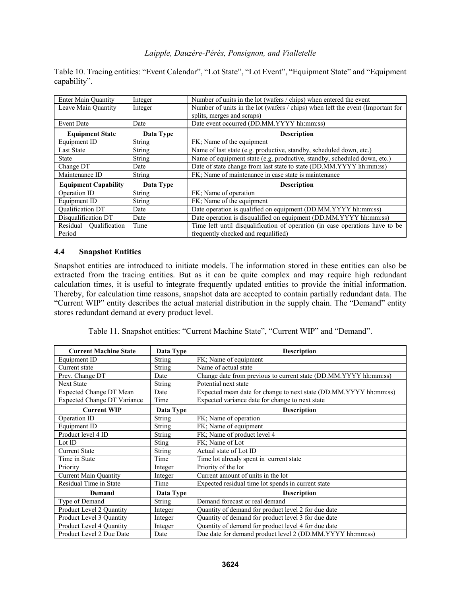Table 10. Tracing entities: "Event Calendar", "Lot State", "Lot Event", "Equipment State" and "Equipment capability".

| <b>Enter Main Quantity</b>  | Integer       | Number of units in the lot (wafers / chips) when entered the event             |
|-----------------------------|---------------|--------------------------------------------------------------------------------|
| Leave Main Quantity         | Integer       | Number of units in the lot (wafers / chips) when left the event (Important for |
|                             |               | splits, merges and scraps)                                                     |
| <b>Event Date</b>           | Date          | Date event occurred (DD.MM.YYYY hh:mm:ss)                                      |
| <b>Equipment State</b>      | Data Type     | <b>Description</b>                                                             |
| Equipment ID                | <b>String</b> | FK; Name of the equipment                                                      |
| <b>Last State</b>           | <b>String</b> | Name of last state (e.g. productive, standby, scheduled down, etc.)            |
| <b>State</b>                | String        | Name of equipment state (e.g. productive, standby, scheduled down, etc.)       |
| Change DT                   | Date          | Date of state change from last state to state (DD.MM.YYYY hh:mm:ss)            |
| Maintenance ID              | <b>String</b> | FK; Name of maintenance in case state is maintenance                           |
| <b>Equipment Capability</b> | Data Type     | <b>Description</b>                                                             |
| Operation ID                | String        | FK; Name of operation                                                          |
| Equipment ID                | <b>String</b> | FK; Name of the equipment                                                      |
| <b>Oualification DT</b>     | Date          | Date operation is qualified on equipment (DD.MM.YYYY hh:mm:ss)                 |
| Disqualification DT         | Date          | Date operation is disqualified on equipment (DD.MM.YYYY hh:mm:ss)              |
| Residual Qualification      | Time          | Time left until disqualification of operation (in case operations have to be   |
| Period                      |               | frequently checked and requalified)                                            |

## **4.4 Snapshot Entities**

Snapshot entities are introduced to initiate models. The information stored in these entities can also be extracted from the tracing entities. But as it can be quite complex and may require high redundant calculation times, it is useful to integrate frequently updated entities to provide the initial information. Thereby, for calculation time reasons, snapshot data are accepted to contain partially redundant data. The "Current WIP" entity describes the actual material distribution in the supply chain. The "Demand" entity stores redundant demand at every product level.

Table 11. Snapshot entities: "Current Machine State", "Current WIP" and "Demand".

| <b>Current Machine State</b>       | Data Type     | <b>Description</b>                                                |
|------------------------------------|---------------|-------------------------------------------------------------------|
| Equipment ID                       | String        | FK; Name of equipment                                             |
| Current state                      | <b>String</b> | Name of actual state                                              |
| Prev. Change DT                    | Date          | Change date from previous to current state (DD.MM.YYYY hh:mm:ss)  |
| <b>Next State</b>                  | <b>String</b> | Potential next state                                              |
| Expected Change DT Mean            | Date          | Expected mean date for change to next state (DD.MM.YYYY hh:mm:ss) |
| <b>Expected Change DT Variance</b> | Time          | Expected variance date for change to next state                   |
| <b>Current WIP</b>                 | Data Type     | <b>Description</b>                                                |
| Operation ID                       | <b>String</b> | FK; Name of operation                                             |
| Equipment ID                       | <b>String</b> | FK; Name of equipment                                             |
| Product level 4 ID                 | <b>String</b> | FK; Name of product level 4                                       |
| Lot ID                             | <b>Sting</b>  | FK: Name of Lot                                                   |
| <b>Current State</b>               | <b>String</b> | Actual state of Lot ID                                            |
| Time in State                      | Time          | Time lot already spent in current state                           |
| Priority                           | Integer       | Priority of the lot                                               |
| <b>Current Main Quantity</b>       | Integer       | Current amount of units in the lot                                |
| Residual Time in State             | Time          | Expected residual time lot spends in current state                |
| Demand                             | Data Type     | <b>Description</b>                                                |
| Type of Demand                     | <b>String</b> | Demand forecast or real demand                                    |
| Product Level 2 Quantity           | Integer       | Quantity of demand for product level 2 for due date               |
| Product Level 3 Quantity           | Integer       | Quantity of demand for product level 3 for due date               |
| Product Level 4 Quantity           | Integer       | Quantity of demand for product level 4 for due date               |
| Product Level 2 Due Date           | Date          | Due date for demand product level 2 (DD.MM.YYYY hh:mm:ss)         |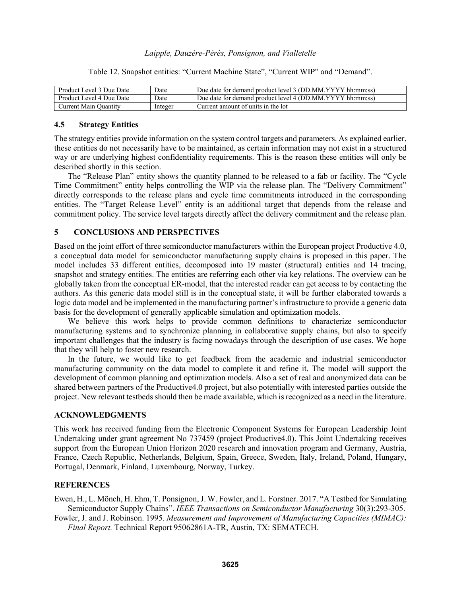| Product Level 3 Due Date | Date    | Due date for demand product level 3 (DD.MM.YYYY hh:mm:ss) |
|--------------------------|---------|-----------------------------------------------------------|
| Product Level 4 Due Date | Date    | Due date for demand product level 4 (DD.MM.YYYY hh:mm:ss) |
| Current Main Ouantity    | Integer | Current amount of units in the lot                        |

Table 12. Snapshot entities: "Current Machine State", "Current WIP" and "Demand".

## **4.5 Strategy Entities**

The strategy entities provide information on the system control targets and parameters. As explained earlier, these entities do not necessarily have to be maintained, as certain information may not exist in a structured way or are underlying highest confidentiality requirements. This is the reason these entities will only be described shortly in this section.

The "Release Plan" entity shows the quantity planned to be released to a fab or facility. The "Cycle Time Commitment" entity helps controlling the WIP via the release plan. The "Delivery Commitment" directly corresponds to the release plans and cycle time commitments introduced in the corresponding entities. The "Target Release Level" entity is an additional target that depends from the release and commitment policy. The service level targets directly affect the delivery commitment and the release plan.

# **5 CONCLUSIONS AND PERSPECTIVES**

Based on the joint effort of three semiconductor manufacturers within the European project Productive 4.0, a conceptual data model for semiconductor manufacturing supply chains is proposed in this paper. The model includes 33 different entities, decomposed into 19 master (structural) entities and 14 tracing, snapshot and strategy entities. The entities are referring each other via key relations. The overview can be globally taken from the conceptual ER-model, that the interested reader can get access to by contacting the authors. As this generic data model still is in the conceptual state, it will be further elaborated towards a logic data model and be implemented in the manufacturing partner's infrastructure to provide a generic data basis for the development of generally applicable simulation and optimization models.

We believe this work helps to provide common definitions to characterize semiconductor manufacturing systems and to synchronize planning in collaborative supply chains, but also to specify important challenges that the industry is facing nowadays through the description of use cases. We hope that they will help to foster new research.

In the future, we would like to get feedback from the academic and industrial semiconductor manufacturing community on the data model to complete it and refine it. The model will support the development of common planning and optimization models. Also a set of real and anonymized data can be shared between partners of the Productive4.0 project, but also potentially with interested parties outside the project. New relevant testbeds should then be made available, which is recognized as a need in the literature.

#### **ACKNOWLEDGMENTS**

This work has received funding from the Electronic Component Systems for European Leadership Joint Undertaking under grant agreement No 737459 (project Productive4.0). This Joint Undertaking receives support from the European Union Horizon 2020 research and innovation program and Germany, Austria, France, Czech Republic, Netherlands, Belgium, Spain, Greece, Sweden, Italy, Ireland, Poland, Hungary, Portugal, Denmark, Finland, Luxembourg, Norway, Turkey.

#### **REFERENCES**

Ewen, H., L. Mönch, H. Ehm, T. Ponsignon, J. W. Fowler, and L. Forstner. 2017. "A Testbed for Simulating Semiconductor Supply Chains". *IEEE Transactions on Semiconductor Manufacturing* 30(3):293-305.

Fowler, J. and J. Robinson. 1995. *Measurement and Improvement of Manufacturing Capacities (MIMAC): Final Report.* Technical Report 95062861A-TR, Austin, TX: SEMATECH.